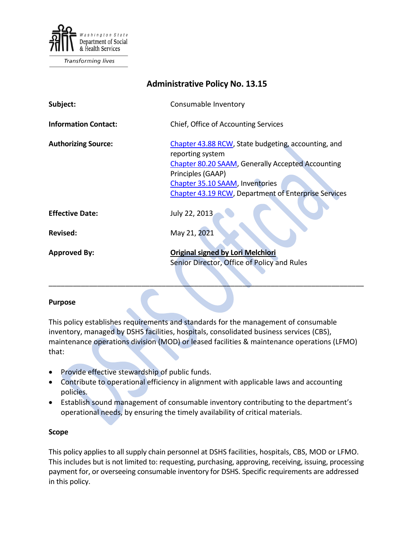

**Transforming lives** 

| <b>Administrative Policy No. 13.15</b> |                                                                                                                                                                                                                                                            |
|----------------------------------------|------------------------------------------------------------------------------------------------------------------------------------------------------------------------------------------------------------------------------------------------------------|
| Subject:                               | Consumable Inventory                                                                                                                                                                                                                                       |
| <b>Information Contact:</b>            | Chief, Office of Accounting Services                                                                                                                                                                                                                       |
| <b>Authorizing Source:</b>             | Chapter 43.88 RCW, State budgeting, accounting, and<br>reporting system<br><b>Chapter 80.20 SAAM, Generally Accepted Accounting</b><br>Principles (GAAP)<br>Chapter 35.10 SAAM, Inventories<br><b>Chapter 43.19 RCW, Department of Enterprise Services</b> |
| <b>Effective Date:</b>                 | July 22, 2013                                                                                                                                                                                                                                              |
| <b>Revised:</b>                        | May 21, 2021                                                                                                                                                                                                                                               |
| <b>Approved By:</b>                    | <b>Original signed by Lori Melchiori</b><br>Senior Director, Office of Policy and Rules                                                                                                                                                                    |

#### **Purpose**

This policy establishes requirements and standards for the management of consumable inventory, managed by DSHS facilities, hospitals, consolidated business services (CBS), maintenance operations division (MOD) or leased facilities & maintenance operations (LFMO) that:

- Provide effective stewardship of public funds.
- Contribute to operational efficiency in alignment with applicable laws and accounting policies.
- Establish sound management of consumable inventory contributing to the department's operational needs, by ensuring the timely availability of critical materials.

#### **Scope**

This policy applies to all supply chain personnel at DSHS facilities, hospitals, CBS, MOD or LFMO. This includes but is not limited to: requesting, purchasing, approving, receiving, issuing, processing payment for, or overseeing consumable inventory for DSHS. Specific requirements are addressed in this policy.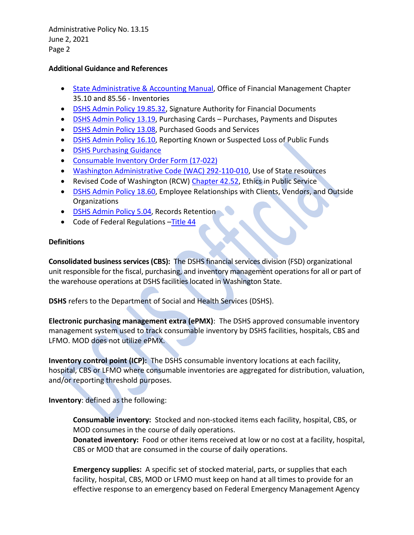## **Additional Guidance and References**

- [State Administrative & Accounting Manual,](http://www.ofm.wa.gov/policy/default.asp) Office of Financial Management Chapter 35.10 and 85.56 - Inventories
- [DSHS Admin Policy 19.85.32,](http://one.dshs.wa.lcl/Policies/Administrative/DSHS-AP-19-85-32.pdf) Signature Authority for Financial Documents
- [DSHS Admin Policy 13.19,](http://one.dshs.wa.lcl/Policies/Administrative/DSHS-AP-13-19.pdf) Purchasing Cards Purchases, Payments and Disputes
- [DSHS Admin Policy 13.08,](http://one.dshs.wa.lcl/Policies/Administrative/DSHS-AP-13-08.pdf) Purchased Goods and Services
- [DSHS Admin Policy 16.10,](http://one.dshs.wa.lcl/Policies/Administrative/DSHS-AP-16-10.pdf) Reporting Known or Suspected Loss of Public Funds
- [DSHS Purchasing Guidance](http://one.dshs.wa.lcl/FS/OSS/CPU/Purchasing/Pages/default.aspx)
- [Consumable Inventory Order Form \(17-022\)](http://forms.dshs.wa.lcl/formDetails.aspx?ID=1296)
- [Washington Administrative Code \(WAC\) 292-110-010,](http://apps.leg.wa.gov/WAC/default.aspx?cite=292-110-010) Use of State resources
- Revised Code of Washington (RCW) [Chapter 42.52,](http://apps.leg.wa.gov/RCW/default.aspx?cite=42.52) Ethics in Public Service
- [DSHS Admin Policy 18.60,](http://one.dshs.wa.lcl/Policies/Administrative/DSHS-AP-18-60.pdf) Employee Relationships with Clients, Vendors, and Outside Organizations
- [DSHS Admin Policy 5.04,](http://one.dshs.wa.lcl/Policies/Administrative/DSHS-AP-05-04.pdf) Records Retention
- Code of Federal Regulations Title 44

# **Definitions**

**Consolidated business services (CBS):** The DSHS financial services division (FSD) organizational unit responsible for the fiscal, purchasing, and inventory management operations for all or part of the warehouse operations at DSHS facilities located in Washington State.

**DSHS** refers to the Department of Social and Health Services (DSHS).

**Electronic purchasing management extra (ePMX)**: The DSHS approved consumable inventory management system used to track consumable inventory by DSHS facilities, hospitals, CBS and LFMO. MOD does not utilize ePMX.

**Inventory control point (ICP):** The DSHS consumable inventory locations at each facility, hospital, CBS or LFMO where consumable inventories are aggregated for distribution, valuation, and/or reporting threshold purposes.

# **Inventory**: defined as the following:

**Consumable inventory:** Stocked and non-stocked items each facility, hospital, CBS, or MOD consumes in the course of daily operations.

**Donated inventory:** Food or other items received at low or no cost at a facility, hospital, CBS or MOD that are consumed in the course of daily operations.

**Emergency supplies:** A specific set of stocked material, parts, or supplies that each facility, hospital, CBS, MOD or LFMO must keep on hand at all times to provide for an effective response to an emergency based on Federal Emergency Management Agency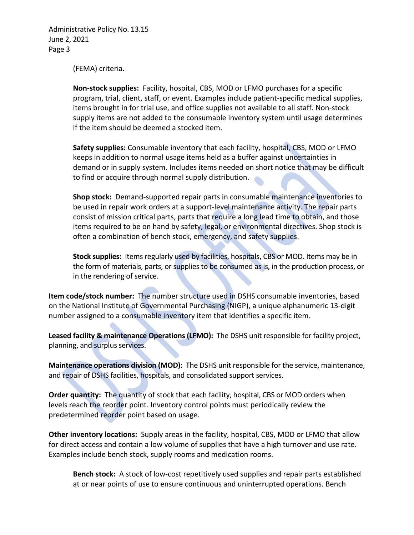(FEMA) criteria.

**Non-stock supplies:** Facility, hospital, CBS, MOD or LFMO purchases for a specific program, trial, client, staff, or event. Examples include patient-specific medical supplies, items brought in for trial use, and office supplies not available to all staff. Non-stock supply items are not added to the consumable inventory system until usage determines if the item should be deemed a stocked item.

**Safety supplies:** Consumable inventory that each facility, hospital, CBS, MOD or LFMO keeps in addition to normal usage items held as a buffer against uncertainties in demand or in supply system. Includes items needed on short notice that may be difficult to find or acquire through normal supply distribution.

**Shop stock:** Demand-supported repair parts in consumable maintenance inventories to be used in repair work orders at a support-level maintenance activity. The repair parts consist of mission critical parts, parts that require a long lead time to obtain, and those items required to be on hand by safety, legal, or environmental directives. Shop stock is often a combination of bench stock, emergency, and safety supplies.

**Stock supplies:** Items regularly used by facilities, hospitals, CBS or MOD. Items may be in the form of materials, parts, or supplies to be consumed as is, in the production process, or in the rendering of service.

**Item code/stock number:** The number structure used in DSHS consumable inventories, based on the National Institute of Governmental Purchasing (NIGP), a unique alphanumeric 13-digit number assigned to a consumable inventory item that identifies a specific item.

**Leased facility & maintenance Operations (LFMO):** The DSHS unit responsible for facility project, planning, and surplus services.

**Maintenance operations division (MOD):** The DSHS unit responsible for the service, maintenance, and repair of DSHS facilities, hospitals, and consolidated support services.

**Order quantity:** The quantity of stock that each facility, hospital, CBS or MOD orders when levels reach the reorder point. Inventory control points must periodically review the predetermined reorder point based on usage.

**Other inventory locations:** Supply areas in the facility, hospital, CBS, MOD or LFMO that allow for direct access and contain a low volume of supplies that have a high turnover and use rate. Examples include bench stock, supply rooms and medication rooms.

**Bench stock:** A stock of low-cost repetitively used supplies and repair parts established at or near points of use to ensure continuous and uninterrupted operations. Bench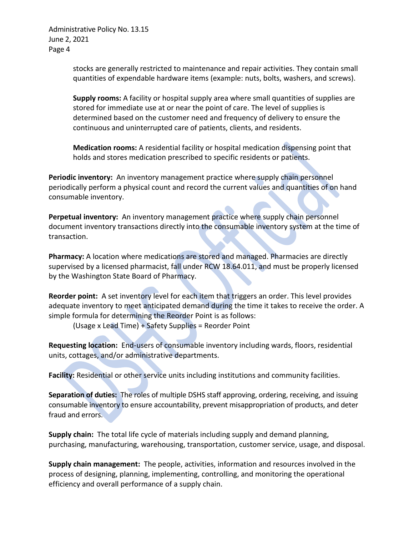> stocks are generally restricted to maintenance and repair activities. They contain small quantities of expendable hardware items (example: nuts, bolts, washers, and screws).

**Supply rooms:** A facility or hospital supply area where small quantities of supplies are stored for immediate use at or near the point of care. The level of supplies is determined based on the customer need and frequency of delivery to ensure the continuous and uninterrupted care of patients, clients, and residents.

**Medication rooms:** A residential facility or hospital medication dispensing point that holds and stores medication prescribed to specific residents or patients.

**Periodic inventory:** An inventory management practice where supply chain personnel periodically perform a physical count and record the current values and quantities of on hand consumable inventory.

**Perpetual inventory:** An inventory management practice where supply chain personnel document inventory transactions directly into the consumable inventory system at the time of transaction.

**Pharmacy:** A location where medications are stored and managed. Pharmacies are directly supervised by a licensed pharmacist, fall under RCW 18.64.011, and must be properly licensed by the Washington State Board of Pharmacy.

**Reorder point:** A set inventory level for each item that triggers an order. This level provides adequate inventory to meet anticipated demand during the time it takes to receive the order. A simple formula for determining the Reorder Point is as follows:

(Usage x Lead Time) + Safety Supplies = Reorder Point

**Requesting location:** End-users of consumable inventory including wards, floors, residential units, cottages, and/or administrative departments.

**Facility:** Residential or other service units including institutions and community facilities.

**Separation of duties:** The roles of multiple DSHS staff approving, ordering, receiving, and issuing consumable inventory to ensure accountability, prevent misappropriation of products, and deter fraud and errors.

**Supply chain:** The total life cycle of materials including supply and demand planning, purchasing, manufacturing, warehousing, transportation, customer service, usage, and disposal.

**Supply chain management:** The people, activities, information and resources involved in the process of designing, planning, implementing, controlling, and monitoring the operational efficiency and overall performance of a supply chain.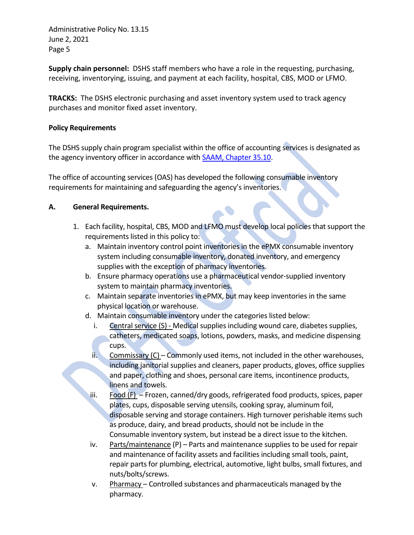**Supply chain personnel:** DSHS staff members who have a role in the requesting, purchasing, receiving, inventorying, issuing, and payment at each facility, hospital, CBS, MOD or LFMO.

**TRACKS:** The DSHS electronic purchasing and asset inventory system used to track agency purchases and monitor fixed asset inventory.

## **Policy Requirements**

The DSHS supply chain program specialist within the office of accounting services is designated as the agency inventory officer in accordance with **SAAM**, Chapter 35.10.

The office of accounting services (OAS) has developed the following consumable inventory requirements for maintaining and safeguarding the agency's inventories.

## **A. General Requirements.**

- 1. Each facility, hospital, CBS, MOD and LFMO must develop local policies that support the requirements listed in this policy to:
	- a. Maintain inventory control point inventories in the ePMX consumable inventory system including consumable inventory, donated inventory, and emergency supplies with the exception of pharmacy inventories.
	- b. Ensure pharmacy operations use a pharmaceutical vendor-supplied inventory system to maintain pharmacy inventories.
	- c. Maintain separate inventories in ePMX, but may keep inventories in the same physical location or warehouse.
	- d. Maintain consumable inventory under the categories listed below:
		- i. Central service (S) Medical supplies including wound care, diabetes supplies, catheters, medicated soaps, lotions, powders, masks, and medicine dispensing cups.
		- ii. Commissary  $(C)$  Commonly used items, not included in the other warehouses, including janitorial supplies and cleaners, paper products, gloves, office supplies and paper, clothing and shoes, personal care items, incontinence products, linens and towels.
		- iii. Food  $(F)$  Frozen, canned/dry goods, refrigerated food products, spices, paper plates, cups, disposable serving utensils, cooking spray, aluminum foil, disposable serving and storage containers. High turnover perishable items such as produce, dairy, and bread products, should not be include in the Consumable inventory system, but instead be a direct issue to the kitchen.
		- iv. Parts/maintenance (P) Parts and maintenance supplies to be used for repair and maintenance of facility assets and facilities including small tools, paint, repair parts for plumbing, electrical, automotive, light bulbs, small fixtures, and nuts/bolts/screws.
		- v. Pharmacy Controlled substances and pharmaceuticals managed by the pharmacy.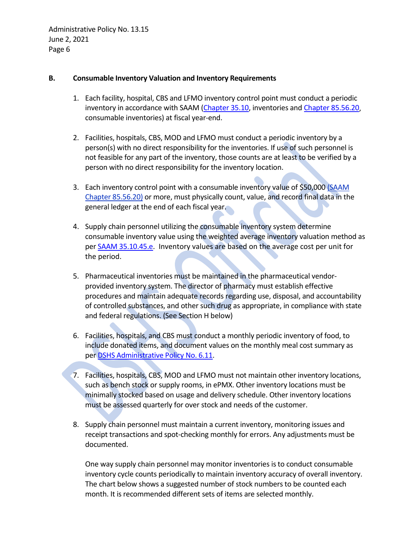## **B. Consumable Inventory Valuation and Inventory Requirements**

- 1. Each facility, hospital, CBS and LFMO inventory control point must conduct a periodic inventory in accordance with SAAM [\(Chapter 35.10,](http://www.ofm.wa.gov/policy/35.10.htm) inventories an[d Chapter 85.56.20,](http://www.ofm.wa.gov/policy/85.56.htm) consumable inventories) at fiscal year-end.
- 2. Facilities, hospitals, CBS, MOD and LFMO must conduct a periodic inventory by a person(s) with no direct responsibility for the inventories. If use of such personnel is not feasible for any part of the inventory, those counts are at least to be verified by a person with no direct responsibility for the inventory location.
- 3. Each inventory control point with a consumable inventory value of \$50,000 [\(SAAM](http://www.ofm.wa.gov/policy/85.56.htm)  [Chapter 85.56.20\)](http://www.ofm.wa.gov/policy/85.56.htm) or more, must physically count, value, and record final data in the general ledger at the end of each fiscal year.
- 4. Supply chain personnel utilizing the consumable inventory system determine consumable inventory value using the weighted average inventory valuation method as per **SAAM 35.10.45.e.** Inventory values are based on the average cost per unit for the period.
- 5. Pharmaceutical inventories must be maintained in the pharmaceutical vendorprovided inventory system. The director of pharmacy must establish effective procedures and maintain adequate records regarding use, disposal, and accountability of controlled substances, and other such drug as appropriate, in compliance with state and federal regulations. (See Section H below)
- 6. Facilities, hospitals, and CBS must conduct a monthly periodic inventory of food, to include donated items, and document values on the monthly meal cost summary as pe[r DSHS Administrative Policy No. 6.11.](http://one.dshs.wa.lcl/Policies/Administrative/DSHS-AP-06-11.pdf)
- 7. Facilities, hospitals, CBS, MOD and LFMO must not maintain other inventory locations, such as bench stock or supply rooms, in ePMX. Other inventory locations must be minimally stocked based on usage and delivery schedule. Other inventory locations must be assessed quarterly for over stock and needs of the customer.
- 8. Supply chain personnel must maintain a current inventory, monitoring issues and receipt transactions and spot-checking monthly for errors. Any adjustments must be documented.

One way supply chain personnel may monitor inventories is to conduct consumable inventory cycle counts periodically to maintain inventory accuracy of overall inventory. The chart below shows a suggested number of stock numbers to be counted each month. It is recommended different sets of items are selected monthly.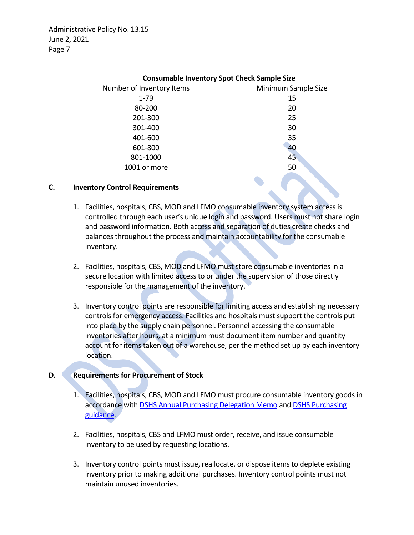| Consumable inventory spot Check Sample Size |                     |
|---------------------------------------------|---------------------|
| Number of Inventory Items                   | Minimum Sample Size |
| $1 - 79$                                    | 15                  |
| 80-200                                      | 20                  |
| 201-300                                     | 25                  |
| 301-400                                     | 30                  |
| 401-600                                     | 35                  |
| 601-800                                     | 40                  |
| 801-1000                                    | 45                  |
| 1001 or more                                | 50                  |
|                                             |                     |

### **Consumable Inventory Spot Check Sample Size**

#### **C. Inventory Control Requirements**

- 1. Facilities, hospitals, CBS, MOD and LFMO consumable inventory system access is controlled through each user's unique login and password. Users must not share login and password information. Both access and separation of duties create checks and balances throughout the process and maintain accountability for the consumable inventory.
- 2. Facilities, hospitals, CBS, MOD and LFMO must store consumable inventories in a secure location with limited access to or under the supervision of those directly responsible for the management of the inventory.
- 3. Inventory control points are responsible for limiting access and establishing necessary controls for emergency access. Facilities and hospitals must support the controls put into place by the supply chain personnel. Personnel accessing the consumable inventories after hours, at a minimum must document item number and quantity account for items taken out of a warehouse, per the method set up by each inventory location.

#### **D. Requirements for Procurement of Stock**

- 1. Facilities, hospitals, CBS, MOD and LFMO must procure consumable inventory goods in accordance wit[h DSHS Annual Purchasing Delegation Memo](http://one.dshs.wa.lcl/FS/OSS/CPU/Purchasing/Pages/DelegationMatrix.aspx) and [DSHS Purchasing](http://one.dshs.wa.lcl/FS/OSS/CPU/Purchasing/Pages/default.aspx)  [guidance.](http://one.dshs.wa.lcl/FS/OSS/CPU/Purchasing/Pages/default.aspx)
- 2. Facilities, hospitals, CBS and LFMO must order, receive, and issue consumable inventory to be used by requesting locations.
- 3. Inventory control points must issue, reallocate, or dispose items to deplete existing inventory prior to making additional purchases. Inventory control points must not maintain unused inventories.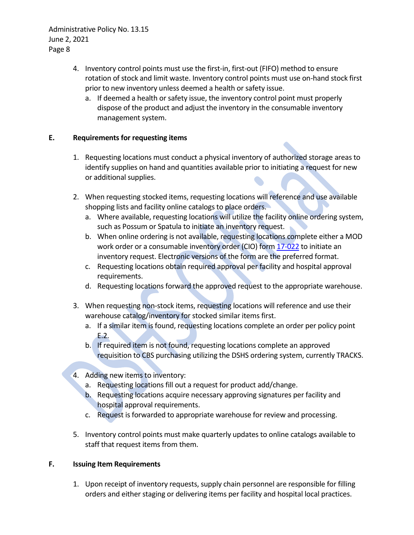- 4. Inventory control points must use the first-in, first-out (FIFO) method to ensure rotation of stock and limit waste. Inventory control points must use on-hand stock first prior to new inventory unless deemed a health or safety issue.
	- a. If deemed a health or safety issue, the inventory control point must properly dispose of the product and adjust the inventory in the consumable inventory management system.

# **E. Requirements for requesting items**

- 1. Requesting locations must conduct a physical inventory of authorized storage areas to identify supplies on hand and quantities available prior to initiating a request for new or additional supplies.
- 2. When requesting stocked items, requesting locations will reference and use available shopping lists and facility online catalogs to place orders.
	- a. Where available, requesting locations will utilize the facility online ordering system, such as Possum or Spatula to initiate an inventory request.
	- b. When online ordering is not available, requesting locations complete either a MOD work order or a consumable inventory order (CIO) for[m 17-022](http://forms.dshs.wa.lcl/formDetails.aspx?ID=1296) to initiate an inventory request. Electronic versions of the form are the preferred format.
	- c. Requesting locations obtain required approval per facility and hospital approval requirements.
	- d. Requesting locations forward the approved request to the appropriate warehouse.
- 3. When requesting non-stock items, requesting locations will reference and use their warehouse catalog/inventory for stocked similar items first.
	- a. If a similar item is found, requesting locations complete an order per policy point E.2.
	- b. If required item is not found, requesting locations complete an approved requisition to CBS purchasing utilizing the DSHS ordering system, currently TRACKS.
- 4. Adding new items to inventory:
	- a. Requesting locations fill out a request for product add/change.
	- b. Requesting locations acquire necessary approving signatures per facility and hospital approval requirements.
	- c. Request is forwarded to appropriate warehouse for review and processing.
- 5. Inventory control points must make quarterly updates to online catalogs available to staff that request items from them.

# **F. Issuing Item Requirements**

1. Upon receipt of inventory requests, supply chain personnel are responsible for filling orders and either staging or delivering items per facility and hospital local practices.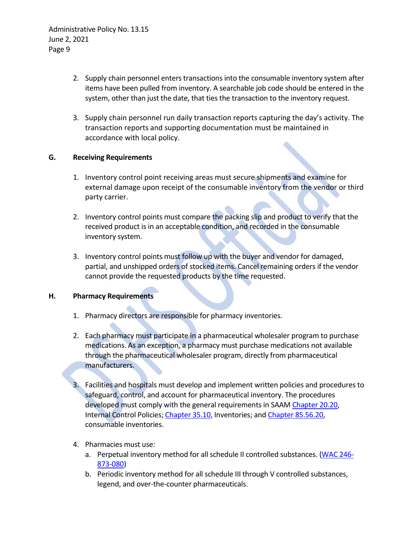- 2. Supply chain personnel enters transactions into the consumable inventory system after items have been pulled from inventory. A searchable job code should be entered in the system, other than just the date, that ties the transaction to the inventory request.
- 3. Supply chain personnel run daily transaction reports capturing the day's activity. The transaction reports and supporting documentation must be maintained in accordance with local policy.

## **G. Receiving Requirements**

- 1. Inventory control point receiving areas must secure shipments and examine for external damage upon receipt of the consumable inventory from the vendor or third party carrier.
- 2. Inventory control points must compare the packing slip and product to verify that the received product is in an acceptable condition, and recorded in the consumable inventory system.
- 3. Inventory control points must follow up with the buyer and vendor for damaged, partial, and unshipped orders of stocked items. Cancel remaining orders if the vendor cannot provide the requested products by the time requested.

## **H. Pharmacy Requirements**

- 1. Pharmacy directors are responsible for pharmacy inventories.
- 2. Each pharmacy must participate in a pharmaceutical wholesaler program to purchase medications. As an exception, a pharmacy must purchase medications not available through the pharmaceutical wholesaler program, directly from pharmaceutical manufacturers.
- 3. Facilities and hospitals must develop and implement written policies and procedures to safeguard, control, and account for pharmaceutical inventory. The procedures developed must comply with the general requirements in SAAM [Chapter 20.20,](http://www.ofm.wa.gov/policy/20.20.htm) Internal Control Policies[; Chapter 35.10,](http://www.ofm.wa.gov/policy/35.10.htm) Inventories; and [Chapter 85.56.20,](http://www.ofm.wa.gov/policy/85.56.htm) consumable inventories.
- 4. Pharmacies must use:
	- a. Perpetual inventory method for all schedule II controlled substances. [\(WAC 246-](http://apps.leg.wa.gov/WAC/default.aspx?cite=246-873-080) [873-080\)](http://apps.leg.wa.gov/WAC/default.aspx?cite=246-873-080)
	- b. Periodic inventory method for all schedule III through V controlled substances, legend, and over-the-counter pharmaceuticals.